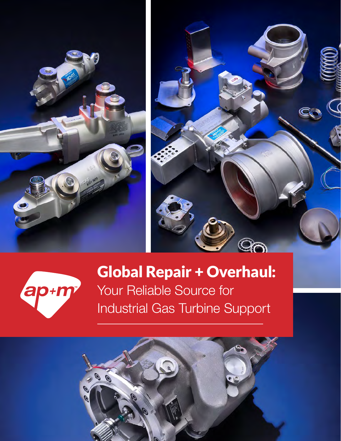





# Global Repair + Overhaul:

Your Reliable Source for Industrial Gas Turbine Support